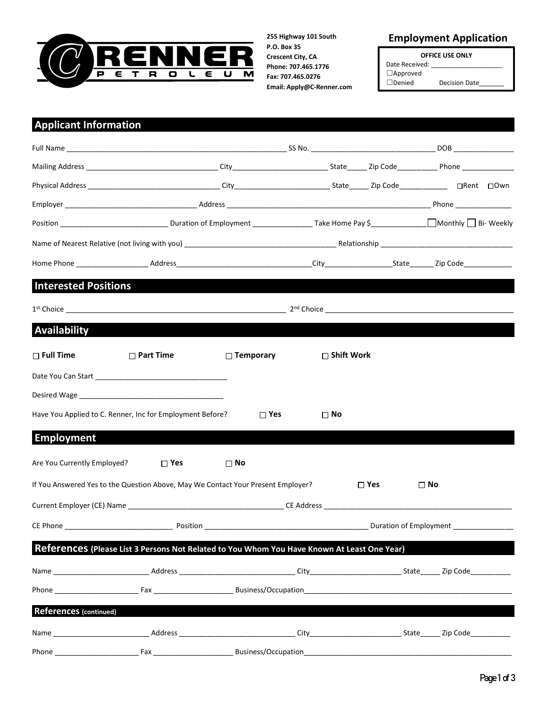

**P.O. Box 35 Crescent City, CA Phone: 707.465.1776 Fax: 707.465.0276 Email: Apply@C-Renner.com**

## **255 Highway 101 South Employment Application**

**OFFICE USE ONLY** Date Received: ☐Approved ☐Denied Decision Date\_\_\_\_\_\_\_

## **Applicant Information**

| <b>Interested Positions</b>                                                                                                                                                                                                    |                  |                  |                   |               |              |  |  |  |  |
|--------------------------------------------------------------------------------------------------------------------------------------------------------------------------------------------------------------------------------|------------------|------------------|-------------------|---------------|--------------|--|--|--|--|
|                                                                                                                                                                                                                                |                  |                  |                   |               |              |  |  |  |  |
| Availability                                                                                                                                                                                                                   |                  |                  |                   |               |              |  |  |  |  |
| $\Box$ Full Time                                                                                                                                                                                                               | $\Box$ Part Time | $\Box$ Temporary | $\Box$ Shift Work |               |              |  |  |  |  |
| Date You Can Start and the control of the control of the control of the control of the control of the control of the control of the control of the control of the control of the control of the control of the control of the  |                  |                  |                   |               |              |  |  |  |  |
| Desired Wage in the contract of the contract of the contract of the contract of the contract of the contract of the contract of the contract of the contract of the contract of the contract of the contract of the contract o |                  |                  |                   |               |              |  |  |  |  |
| Have You Applied to C. Renner, Inc for Employment Before?                                                                                                                                                                      |                  | $\Box$ Yes       | $\square$ No      |               |              |  |  |  |  |
| <b>Employment</b>                                                                                                                                                                                                              |                  |                  |                   |               |              |  |  |  |  |
| Are You Currently Employed?                                                                                                                                                                                                    | $\square$ Yes    | $\square$ No     |                   |               |              |  |  |  |  |
| If You Answered Yes to the Question Above, May We Contact Your Present Employer?                                                                                                                                               |                  |                  |                   | $\square$ Yes | $\square$ No |  |  |  |  |
|                                                                                                                                                                                                                                |                  |                  |                   |               |              |  |  |  |  |
|                                                                                                                                                                                                                                |                  |                  |                   |               |              |  |  |  |  |
| References (Please List 3 Persons Not Related to You Whom You Have Known At Least One Year)                                                                                                                                    |                  |                  |                   |               |              |  |  |  |  |
|                                                                                                                                                                                                                                |                  |                  |                   |               |              |  |  |  |  |
|                                                                                                                                                                                                                                |                  |                  |                   |               |              |  |  |  |  |
| <b>References (continued)</b>                                                                                                                                                                                                  |                  |                  |                   |               |              |  |  |  |  |
|                                                                                                                                                                                                                                |                  |                  |                   |               |              |  |  |  |  |
|                                                                                                                                                                                                                                |                  |                  |                   |               |              |  |  |  |  |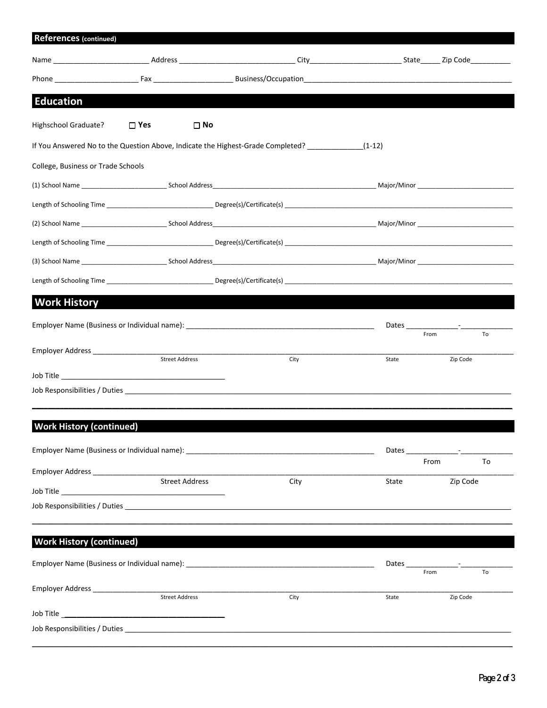| <b>References (continued)</b>        |               |                       |                                                                                        |                        |                                                                                                                                                                                                                               |
|--------------------------------------|---------------|-----------------------|----------------------------------------------------------------------------------------|------------------------|-------------------------------------------------------------------------------------------------------------------------------------------------------------------------------------------------------------------------------|
|                                      |               |                       |                                                                                        |                        |                                                                                                                                                                                                                               |
|                                      |               |                       |                                                                                        |                        |                                                                                                                                                                                                                               |
| <b>Education</b>                     |               |                       |                                                                                        |                        |                                                                                                                                                                                                                               |
| Highschool Graduate?                 | $\square$ Yes | $\square$ No          |                                                                                        |                        |                                                                                                                                                                                                                               |
|                                      |               |                       | If You Answered No to the Question Above, Indicate the Highest-Grade Completed? (1-12) |                        |                                                                                                                                                                                                                               |
| College, Business or Trade Schools   |               |                       |                                                                                        |                        |                                                                                                                                                                                                                               |
|                                      |               |                       |                                                                                        |                        |                                                                                                                                                                                                                               |
|                                      |               |                       |                                                                                        |                        |                                                                                                                                                                                                                               |
|                                      |               |                       |                                                                                        |                        |                                                                                                                                                                                                                               |
|                                      |               |                       |                                                                                        |                        |                                                                                                                                                                                                                               |
|                                      |               |                       |                                                                                        |                        |                                                                                                                                                                                                                               |
|                                      |               |                       |                                                                                        |                        |                                                                                                                                                                                                                               |
| <b>Work History</b>                  |               |                       |                                                                                        |                        |                                                                                                                                                                                                                               |
|                                      |               |                       |                                                                                        |                        |                                                                                                                                                                                                                               |
| Employer Address __________________  |               |                       |                                                                                        | From                   | To                                                                                                                                                                                                                            |
|                                      |               | <b>Street Address</b> | City                                                                                   | State                  | Zip Code                                                                                                                                                                                                                      |
|                                      |               |                       |                                                                                        |                        |                                                                                                                                                                                                                               |
|                                      |               |                       |                                                                                        |                        |                                                                                                                                                                                                                               |
| <b>Work History (continued)</b>      |               |                       |                                                                                        |                        |                                                                                                                                                                                                                               |
|                                      |               |                       |                                                                                        |                        | Dates and the contract of the contract of the contract of the contract of the contract of the contract of the contract of the contract of the contract of the contract of the contract of the contract of the contract of the |
|                                      |               |                       |                                                                                        | From                   | To                                                                                                                                                                                                                            |
|                                      |               | <b>Street Address</b> | City                                                                                   | State                  | Zip Code                                                                                                                                                                                                                      |
|                                      |               |                       |                                                                                        |                        |                                                                                                                                                                                                                               |
|                                      |               |                       |                                                                                        |                        |                                                                                                                                                                                                                               |
| <b>Work History (continued)</b>      |               |                       |                                                                                        |                        |                                                                                                                                                                                                                               |
|                                      |               |                       |                                                                                        | Dates $\_{\_}$<br>From | To                                                                                                                                                                                                                            |
| Employer Address ___________________ |               |                       |                                                                                        |                        |                                                                                                                                                                                                                               |
|                                      |               | <b>Street Address</b> | City                                                                                   | State                  | Zip Code                                                                                                                                                                                                                      |
|                                      |               |                       |                                                                                        |                        |                                                                                                                                                                                                                               |